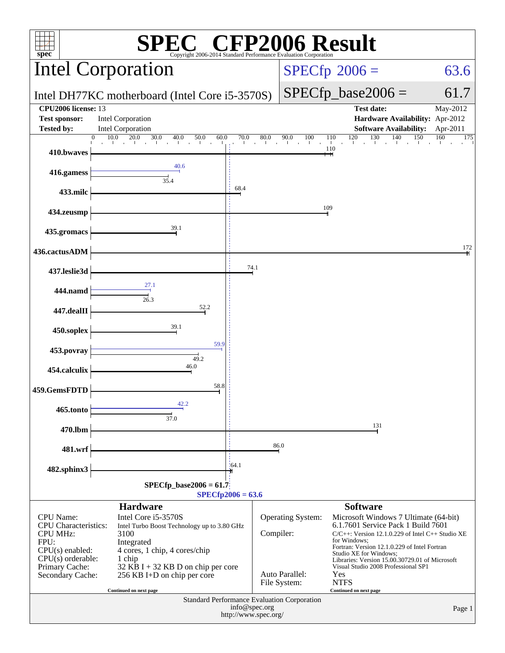| $\mathbb{C}^{\circ}$ CFP2006 Result<br>spec®<br>Copyright 2006-2014 Standard Performance Evaluation Corporation                                       |                                                                                                                                                                                                                                                       |                                       |                                                                                                                        |                                                                                                                                                                                                                                                                                                                                                                                            |                      |  |  |  |
|-------------------------------------------------------------------------------------------------------------------------------------------------------|-------------------------------------------------------------------------------------------------------------------------------------------------------------------------------------------------------------------------------------------------------|---------------------------------------|------------------------------------------------------------------------------------------------------------------------|--------------------------------------------------------------------------------------------------------------------------------------------------------------------------------------------------------------------------------------------------------------------------------------------------------------------------------------------------------------------------------------------|----------------------|--|--|--|
|                                                                                                                                                       | Intel Corporation                                                                                                                                                                                                                                     |                                       |                                                                                                                        | $SPECfp^{\circledast}2006 =$<br>63.6                                                                                                                                                                                                                                                                                                                                                       |                      |  |  |  |
|                                                                                                                                                       | Intel DH77KC motherboard (Intel Core i5-3570S)                                                                                                                                                                                                        |                                       |                                                                                                                        | $SPECfp\_base2006 =$                                                                                                                                                                                                                                                                                                                                                                       | 61.7                 |  |  |  |
| CPU2006 license: 13<br><b>Test sponsor:</b><br>Tested by:                                                                                             | Intel Corporation<br><b>Intel Corporation</b>                                                                                                                                                                                                         |                                       |                                                                                                                        | <b>Test date:</b><br>Hardware Availability: Apr-2012<br><b>Software Availability:</b>                                                                                                                                                                                                                                                                                                      | May-2012<br>Apr-2011 |  |  |  |
| 410.bwaves                                                                                                                                            | $\Omega$                                                                                                                                                                                                                                              |                                       |                                                                                                                        | 110                                                                                                                                                                                                                                                                                                                                                                                        | 175                  |  |  |  |
| 416.gamess                                                                                                                                            | 40.6<br>$\frac{1}{35.4}$                                                                                                                                                                                                                              |                                       |                                                                                                                        |                                                                                                                                                                                                                                                                                                                                                                                            |                      |  |  |  |
| 433.milc                                                                                                                                              |                                                                                                                                                                                                                                                       | 68.4                                  |                                                                                                                        |                                                                                                                                                                                                                                                                                                                                                                                            |                      |  |  |  |
| 434.zeusmp                                                                                                                                            |                                                                                                                                                                                                                                                       |                                       | 109                                                                                                                    |                                                                                                                                                                                                                                                                                                                                                                                            |                      |  |  |  |
| 435.gromacs                                                                                                                                           | $\overset{39.1}{\rightarrow}$                                                                                                                                                                                                                         |                                       |                                                                                                                        |                                                                                                                                                                                                                                                                                                                                                                                            |                      |  |  |  |
| 436.cactusADM                                                                                                                                         |                                                                                                                                                                                                                                                       |                                       |                                                                                                                        |                                                                                                                                                                                                                                                                                                                                                                                            | 172                  |  |  |  |
| 437.leslie3d                                                                                                                                          |                                                                                                                                                                                                                                                       | 74.1                                  |                                                                                                                        |                                                                                                                                                                                                                                                                                                                                                                                            |                      |  |  |  |
| 444.namd                                                                                                                                              | $\frac{1}{26.3}$                                                                                                                                                                                                                                      |                                       |                                                                                                                        |                                                                                                                                                                                                                                                                                                                                                                                            |                      |  |  |  |
| 447.dealII                                                                                                                                            | 52.2<br>39.1                                                                                                                                                                                                                                          |                                       |                                                                                                                        |                                                                                                                                                                                                                                                                                                                                                                                            |                      |  |  |  |
| 450.soplex                                                                                                                                            | 59.9                                                                                                                                                                                                                                                  |                                       |                                                                                                                        |                                                                                                                                                                                                                                                                                                                                                                                            |                      |  |  |  |
| 453.povray                                                                                                                                            | 49.2<br>46.0                                                                                                                                                                                                                                          |                                       |                                                                                                                        |                                                                                                                                                                                                                                                                                                                                                                                            |                      |  |  |  |
| 454.calculix                                                                                                                                          | 58.8                                                                                                                                                                                                                                                  |                                       |                                                                                                                        |                                                                                                                                                                                                                                                                                                                                                                                            |                      |  |  |  |
| 459.GemsFDTD<br>465.tonto                                                                                                                             | 42.2                                                                                                                                                                                                                                                  |                                       |                                                                                                                        |                                                                                                                                                                                                                                                                                                                                                                                            |                      |  |  |  |
| 470.lbm                                                                                                                                               | 37.0                                                                                                                                                                                                                                                  |                                       |                                                                                                                        | 131                                                                                                                                                                                                                                                                                                                                                                                        |                      |  |  |  |
| 481.wrf                                                                                                                                               |                                                                                                                                                                                                                                                       |                                       | 86.0                                                                                                                   |                                                                                                                                                                                                                                                                                                                                                                                            |                      |  |  |  |
| 482.sphinx3                                                                                                                                           |                                                                                                                                                                                                                                                       | 164.1                                 |                                                                                                                        |                                                                                                                                                                                                                                                                                                                                                                                            |                      |  |  |  |
|                                                                                                                                                       | $SPECfp\_base2006 = 61.7$                                                                                                                                                                                                                             | $SPECfp2006 = 63.6$                   |                                                                                                                        |                                                                                                                                                                                                                                                                                                                                                                                            |                      |  |  |  |
| <b>CPU</b> Name:<br>CPU Characteristics:<br><b>CPU MHz:</b><br>FPU:<br>$CPU(s)$ enabled:<br>$CPU(s)$ orderable:<br>Primary Cache:<br>Secondary Cache: | <b>Hardware</b><br>Intel Core i5-3570S<br>Intel Turbo Boost Technology up to 3.80 GHz<br>3100<br>Integrated<br>4 cores, 1 chip, 4 cores/chip<br>1 chip<br>32 KB I + 32 KB D on chip per core<br>256 KB I+D on chip per core<br>Continued on next page |                                       | <b>Operating System:</b><br>Compiler:<br>Auto Parallel:<br>File System:<br>Standard Performance Evaluation Corporation | <b>Software</b><br>Microsoft Windows 7 Ultimate (64-bit)<br>6.1.7601 Service Pack 1 Build 7601<br>$C/C++$ : Version 12.1.0.229 of Intel $C++$ Studio XE<br>for Windows:<br>Fortran: Version 12.1.0.229 of Intel Fortran<br>Studio XE for Windows;<br>Libraries: Version 15.00.30729.01 of Microsoft<br>Visual Studio 2008 Professional SP1<br>Yes<br><b>NTFS</b><br>Continued on next page |                      |  |  |  |
|                                                                                                                                                       |                                                                                                                                                                                                                                                       | info@spec.org<br>http://www.spec.org/ |                                                                                                                        |                                                                                                                                                                                                                                                                                                                                                                                            | Page 1               |  |  |  |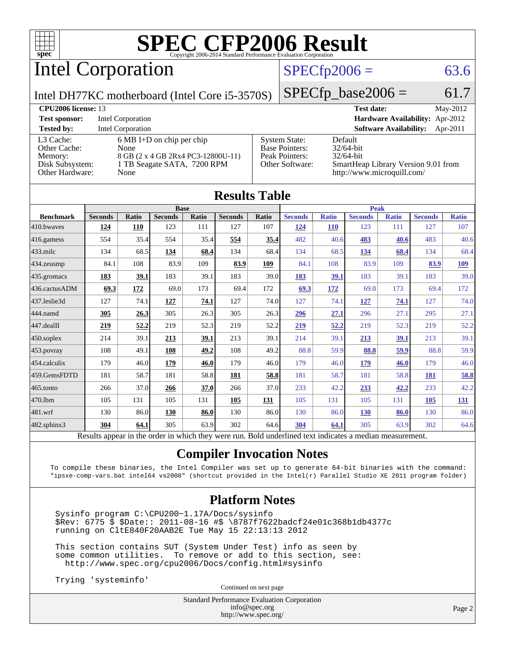

Intel Corporation

### $SPECTp2006 = 63.6$

Intel DH77KC motherboard (Intel Core i5-3570S)

 $SPECTp\_base2006 = 61.7$ 

| <b>CPU<sub>2006</sub></b> license: 13 |                                     |                                   | <b>Test date:</b><br>May-2012                                     |
|---------------------------------------|-------------------------------------|-----------------------------------|-------------------------------------------------------------------|
| <b>Test sponsor:</b>                  | Intel Corporation                   |                                   | <b>Hardware Availability:</b> Apr-2012                            |
| <b>Tested by:</b>                     | <b>Intel Corporation</b>            |                                   | <b>Software Availability:</b><br>Apr-2011                         |
| L3 Cache:                             | $6 \text{ MB I+D}$ on chip per chip | <b>System State:</b>              | Default                                                           |
| Other Cache:                          | None                                | <b>Base Pointers:</b>             | $32/64$ -bit                                                      |
| Memory:                               | 8 GB (2 x 4 GB 2Rx4 PC3-12800U-11)  | Peak Pointers:<br>Other Software: | $32/64$ -bit                                                      |
| Disk Subsystem:<br>Other Hardware:    | 1 TB Seagate SATA, 7200 RPM<br>None |                                   | SmartHeap Library Version 9.01 from<br>http://www.microquill.com/ |

| <b>Results Table</b>                                                                                     |                            |              |                |       |                |       |                |              |                |              |                |              |
|----------------------------------------------------------------------------------------------------------|----------------------------|--------------|----------------|-------|----------------|-------|----------------|--------------|----------------|--------------|----------------|--------------|
|                                                                                                          | <b>Base</b><br><b>Peak</b> |              |                |       |                |       |                |              |                |              |                |              |
| <b>Benchmark</b>                                                                                         | <b>Seconds</b>             | <b>Ratio</b> | <b>Seconds</b> | Ratio | <b>Seconds</b> | Ratio | <b>Seconds</b> | <b>Ratio</b> | <b>Seconds</b> | <b>Ratio</b> | <b>Seconds</b> | <b>Ratio</b> |
| 410.bwayes                                                                                               | 124                        | 110          | 123            | 111   | 127            | 107   | 124            | <b>110</b>   | 123            | 111          | 127            | 107          |
| 416.gamess                                                                                               | 554                        | 35.4         | 554            | 35.4  | 554            | 35.4  | 482            | 40.6         | 483            | 40.6         | 483            | 40.6         |
| $433$ .milc                                                                                              | 134                        | 68.5         | 134            | 68.4  | 134            | 68.4  | 134            | 68.5         | 134            | 68.4         | 134            | 68.4         |
| 434.zeusmp                                                                                               | 84.1                       | 108          | 83.9           | 109   | 83.9           | 109   | 84.1           | 108          | 83.9           | 109          | 83.9           | <u>109</u>   |
| 435.gromacs                                                                                              | <b>183</b>                 | 39.1         | 183            | 39.1  | 183            | 39.0  | 183            | 39.1         | 183            | 39.1         | 183            | 39.0         |
| 436.cactusADM                                                                                            | 69.3                       | 172          | 69.0           | 173   | 69.4           | 172   | 69.3           | 172          | 69.0           | 173          | 69.4           | 172          |
| 437.leslie3d                                                                                             | 127                        | 74.1         | 127            | 74.1  | 127            | 74.0  | 127            | 74.1         | 127            | 74.1         | 127            | 74.0         |
| 444.namd                                                                                                 | 305                        | 26.3         | 305            | 26.3  | 305            | 26.3  | 296            | 27.1         | 296            | 27.1         | 295            | 27.1         |
| 447.dealII                                                                                               | 219                        | 52.2         | 219            | 52.3  | 219            | 52.2  | 219            | 52.2         | 219            | 52.3         | 219            | 52.2         |
| $450$ .soplex                                                                                            | 214                        | 39.1         | 213            | 39.1  | 213            | 39.1  | 214            | 39.1         | 213            | 39.1         | 213            | 39.1         |
| 453.povray                                                                                               | 108                        | 49.1         | 108            | 49.2  | 108            | 49.2  | 88.8           | 59.9         | 88.8           | 59.9         | 88.8           | 59.9         |
| 454.calculix                                                                                             | 179                        | 46.0         | 179            | 46.0  | 179            | 46.0  | 179            | 46.0         | 179            | 46.0         | 179            | 46.0         |
| 459.GemsFDTD                                                                                             | 181                        | 58.7         | 181            | 58.8  | 181            | 58.8  | 181            | 58.7         | 181            | 58.8         | 181            | 58.8         |
| 465.tonto                                                                                                | 266                        | 37.0         | 266            | 37.0  | 266            | 37.0  | 233            | 42.2         | 233            | 42.2         | 233            | 42.2         |
| 470.1bm                                                                                                  | 105                        | 131          | 105            | 131   | 105            | 131   | 105            | 131          | 105            | 131          | 105            | <u>131</u>   |
| 481.wrf                                                                                                  | 130                        | 86.0         | 130            | 86.0  | 130            | 86.0  | 130            | 86.0         | <b>130</b>     | 86.0         | 130            | 86.0         |
| 482.sphinx3                                                                                              | 304                        | 64.1         | 305            | 63.9  | 302            | 64.6  | 304            | 64.1         | 305            | 63.9         | 302            | 64.6         |
| Results appear in the order in which they were run. Bold underlined text indicates a median measurement. |                            |              |                |       |                |       |                |              |                |              |                |              |

### **[Compiler Invocation Notes](http://www.spec.org/auto/cpu2006/Docs/result-fields.html#CompilerInvocationNotes)**

To compile these binaries, the Intel Compiler was set up to generate 64-bit binaries with the command: "ipsxe-comp-vars.bat intel64 vs2008" (shortcut provided in the Intel(r) Parallel Studio XE 2011 program folder)

### **[Platform Notes](http://www.spec.org/auto/cpu2006/Docs/result-fields.html#PlatformNotes)**

 Sysinfo program C:\CPU200~1.17A/Docs/sysinfo \$Rev: 6775 \$ \$Date:: 2011-08-16 #\$ \8787f7622badcf24e01c368b1db4377c running on CltE840F20AAB2E Tue May 15 22:13:13 2012

 This section contains SUT (System Under Test) info as seen by some common utilities. To remove or add to this section, see: <http://www.spec.org/cpu2006/Docs/config.html#sysinfo>

Trying 'systeminfo'

Continued on next page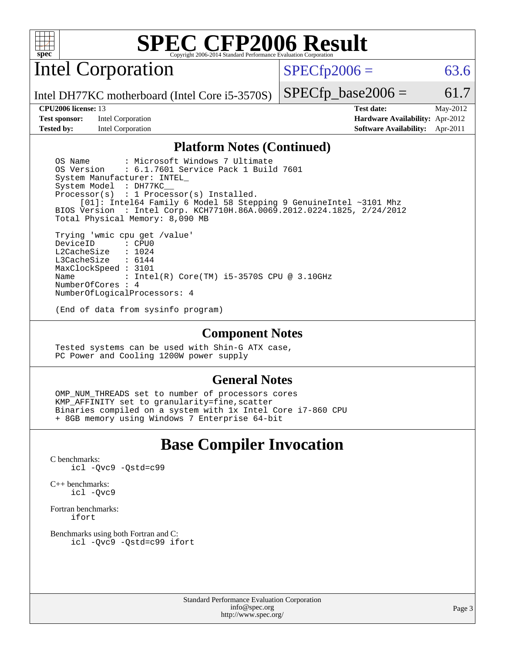

Intel Corporation

 $SPECTp2006 = 63.6$ 

Intel DH77KC motherboard (Intel Core i5-3570S)

#### **[CPU2006 license:](http://www.spec.org/auto/cpu2006/Docs/result-fields.html#CPU2006license)** 13 **[Test date:](http://www.spec.org/auto/cpu2006/Docs/result-fields.html#Testdate)** May-2012

**[Test sponsor:](http://www.spec.org/auto/cpu2006/Docs/result-fields.html#Testsponsor)** Intel Corporation **[Hardware Availability:](http://www.spec.org/auto/cpu2006/Docs/result-fields.html#HardwareAvailability)** Apr-2012

 $SPECTp\_base2006 = 61.7$ 

**[Tested by:](http://www.spec.org/auto/cpu2006/Docs/result-fields.html#Testedby)** Intel Corporation **[Software Availability:](http://www.spec.org/auto/cpu2006/Docs/result-fields.html#SoftwareAvailability)** Apr-2011

### **[Platform Notes \(Continued\)](http://www.spec.org/auto/cpu2006/Docs/result-fields.html#PlatformNotes)**

OS Name : Microsoft Windows 7 Ultimate<br>OS Version : 6.1.7601 Service Pack 1 Buil : 6.1.7601 Service Pack 1 Build 7601 System Manufacturer: INTEL\_ System Model : DH77KC\_\_ Processor(s) : 1 Processor(s) Installed. [01]: Intel64 Family 6 Model 58 Stepping 9 GenuineIntel ~3101 Mhz BIOS Version : Intel Corp. KCH7710H.86A.0069.2012.0224.1825, 2/24/2012 Total Physical Memory: 8,090 MB Trying 'wmic cpu get /value' DeviceID L2CacheSize : 1024<br>T3CacheSize : 6144 L3CacheSize

 MaxClockSpeed : 3101 Name : Intel(R) Core(TM) i5-3570S CPU @ 3.10GHz NumberOfCores : 4 NumberOfLogicalProcessors: 4

(End of data from sysinfo program)

#### **[Component Notes](http://www.spec.org/auto/cpu2006/Docs/result-fields.html#ComponentNotes)**

 Tested systems can be used with Shin-G ATX case, PC Power and Cooling 1200W power supply

### **[General Notes](http://www.spec.org/auto/cpu2006/Docs/result-fields.html#GeneralNotes)**

OMP NUM THREADS set to number of processors cores KMP\_AFFINITY set to granularity=fine,scatter Binaries compiled on a system with 1x Intel Core i7-860 CPU + 8GB memory using Windows 7 Enterprise 64-bit

# **[Base Compiler Invocation](http://www.spec.org/auto/cpu2006/Docs/result-fields.html#BaseCompilerInvocation)**

[C benchmarks](http://www.spec.org/auto/cpu2006/Docs/result-fields.html#Cbenchmarks): [icl -Qvc9](http://www.spec.org/cpu2006/results/res2012q3/cpu2006-20120702-23382.flags.html#user_CCbase_intel_icc_vc9_6b5741b4033b9dc48df324263d9561bc) [-Qstd=c99](http://www.spec.org/cpu2006/results/res2012q3/cpu2006-20120702-23382.flags.html#user_CCbase_intel_compiler_c99_mode_1a3d110e3041b3ad4466830521bdad2a)

[C++ benchmarks:](http://www.spec.org/auto/cpu2006/Docs/result-fields.html#CXXbenchmarks) [icl -Qvc9](http://www.spec.org/cpu2006/results/res2012q3/cpu2006-20120702-23382.flags.html#user_CXXbase_intel_icc_vc9_6b5741b4033b9dc48df324263d9561bc)

[Fortran benchmarks](http://www.spec.org/auto/cpu2006/Docs/result-fields.html#Fortranbenchmarks): [ifort](http://www.spec.org/cpu2006/results/res2012q3/cpu2006-20120702-23382.flags.html#user_FCbase_intel_ifort_8a5e5e06b19a251bdeaf8fdab5d62f20)

[Benchmarks using both Fortran and C](http://www.spec.org/auto/cpu2006/Docs/result-fields.html#BenchmarksusingbothFortranandC): [icl -Qvc9](http://www.spec.org/cpu2006/results/res2012q3/cpu2006-20120702-23382.flags.html#user_CC_FCbase_intel_icc_vc9_6b5741b4033b9dc48df324263d9561bc) [-Qstd=c99](http://www.spec.org/cpu2006/results/res2012q3/cpu2006-20120702-23382.flags.html#user_CC_FCbase_intel_compiler_c99_mode_1a3d110e3041b3ad4466830521bdad2a) [ifort](http://www.spec.org/cpu2006/results/res2012q3/cpu2006-20120702-23382.flags.html#user_CC_FCbase_intel_ifort_8a5e5e06b19a251bdeaf8fdab5d62f20)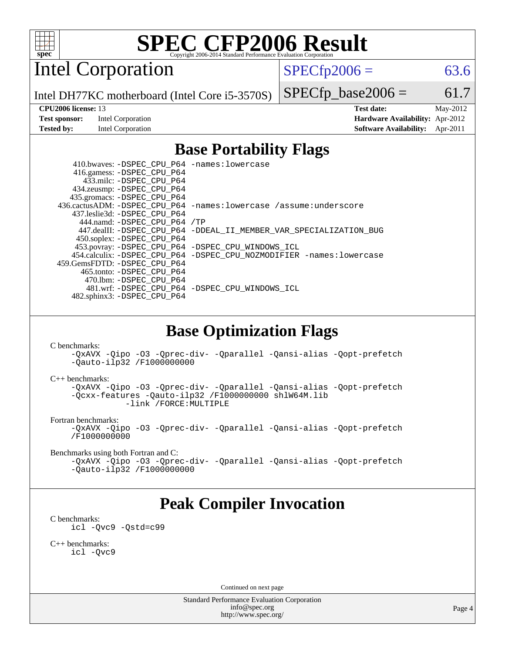

Intel Corporation

 $SPECTp2006 = 63.6$ 

Intel DH77KC motherboard (Intel Core i5-3570S)

 $SPECTp\_base2006 = 61.7$ **[CPU2006 license:](http://www.spec.org/auto/cpu2006/Docs/result-fields.html#CPU2006license)** 13 **[Test date:](http://www.spec.org/auto/cpu2006/Docs/result-fields.html#Testdate)** May-2012

**[Test sponsor:](http://www.spec.org/auto/cpu2006/Docs/result-fields.html#Testsponsor)** Intel Corporation **[Hardware Availability:](http://www.spec.org/auto/cpu2006/Docs/result-fields.html#HardwareAvailability)** Apr-2012 **[Tested by:](http://www.spec.org/auto/cpu2006/Docs/result-fields.html#Testedby)** Intel Corporation **[Software Availability:](http://www.spec.org/auto/cpu2006/Docs/result-fields.html#SoftwareAvailability)** Apr-2011

## **[Base Portability Flags](http://www.spec.org/auto/cpu2006/Docs/result-fields.html#BasePortabilityFlags)**

 410.bwaves: [-DSPEC\\_CPU\\_P64](http://www.spec.org/cpu2006/results/res2012q3/cpu2006-20120702-23382.flags.html#suite_basePORTABILITY410_bwaves_DSPEC_CPU_P64) [-names:lowercase](http://www.spec.org/cpu2006/results/res2012q3/cpu2006-20120702-23382.flags.html#user_baseFPORTABILITY410_bwaves_lowercase_routine_name_fa09b8c93d90fdc7bf4c1a91694c3a84) 416.gamess: [-DSPEC\\_CPU\\_P64](http://www.spec.org/cpu2006/results/res2012q3/cpu2006-20120702-23382.flags.html#suite_basePORTABILITY416_gamess_DSPEC_CPU_P64) 433.milc: [-DSPEC\\_CPU\\_P64](http://www.spec.org/cpu2006/results/res2012q3/cpu2006-20120702-23382.flags.html#suite_basePORTABILITY433_milc_DSPEC_CPU_P64) 434.zeusmp: [-DSPEC\\_CPU\\_P64](http://www.spec.org/cpu2006/results/res2012q3/cpu2006-20120702-23382.flags.html#suite_basePORTABILITY434_zeusmp_DSPEC_CPU_P64) 435.gromacs: [-DSPEC\\_CPU\\_P64](http://www.spec.org/cpu2006/results/res2012q3/cpu2006-20120702-23382.flags.html#suite_basePORTABILITY435_gromacs_DSPEC_CPU_P64) 436.cactusADM: [-DSPEC\\_CPU\\_P64](http://www.spec.org/cpu2006/results/res2012q3/cpu2006-20120702-23382.flags.html#suite_basePORTABILITY436_cactusADM_DSPEC_CPU_P64) [-names:lowercase](http://www.spec.org/cpu2006/results/res2012q3/cpu2006-20120702-23382.flags.html#user_baseFPORTABILITY436_cactusADM_lowercase_routine_name_fa09b8c93d90fdc7bf4c1a91694c3a84) [/assume:underscore](http://www.spec.org/cpu2006/results/res2012q3/cpu2006-20120702-23382.flags.html#user_baseFPORTABILITY436_cactusADM_add-underscore_to_routine_name_0c7c658d9e5eb8b86e282975775768a4) 437.leslie3d: [-DSPEC\\_CPU\\_P64](http://www.spec.org/cpu2006/results/res2012q3/cpu2006-20120702-23382.flags.html#suite_basePORTABILITY437_leslie3d_DSPEC_CPU_P64) 444.namd: [-DSPEC\\_CPU\\_P64](http://www.spec.org/cpu2006/results/res2012q3/cpu2006-20120702-23382.flags.html#suite_basePORTABILITY444_namd_DSPEC_CPU_P64) [/TP](http://www.spec.org/cpu2006/results/res2012q3/cpu2006-20120702-23382.flags.html#user_baseCXXPORTABILITY444_namd_assume_cplusplus_sources_73f79b6e94f79d415caf1b69b30a60d8) 447.dealII: [-DSPEC\\_CPU\\_P64](http://www.spec.org/cpu2006/results/res2012q3/cpu2006-20120702-23382.flags.html#suite_basePORTABILITY447_dealII_DSPEC_CPU_P64) [-DDEAL\\_II\\_MEMBER\\_VAR\\_SPECIALIZATION\\_BUG](http://www.spec.org/cpu2006/results/res2012q3/cpu2006-20120702-23382.flags.html#b447.dealII_baseCXXPORTABILITY_DDEAL_II_MEMBER_VAR_SPECIALIZATION_BUG) 450.soplex: [-DSPEC\\_CPU\\_P64](http://www.spec.org/cpu2006/results/res2012q3/cpu2006-20120702-23382.flags.html#suite_basePORTABILITY450_soplex_DSPEC_CPU_P64) 453.povray: [-DSPEC\\_CPU\\_P64](http://www.spec.org/cpu2006/results/res2012q3/cpu2006-20120702-23382.flags.html#suite_basePORTABILITY453_povray_DSPEC_CPU_P64) [-DSPEC\\_CPU\\_WINDOWS\\_ICL](http://www.spec.org/cpu2006/results/res2012q3/cpu2006-20120702-23382.flags.html#b453.povray_baseCXXPORTABILITY_DSPEC_CPU_WINDOWS_ICL) 454.calculix: [-DSPEC\\_CPU\\_P64](http://www.spec.org/cpu2006/results/res2012q3/cpu2006-20120702-23382.flags.html#suite_basePORTABILITY454_calculix_DSPEC_CPU_P64) [-DSPEC\\_CPU\\_NOZMODIFIER](http://www.spec.org/cpu2006/results/res2012q3/cpu2006-20120702-23382.flags.html#b454.calculix_baseCPORTABILITY_DSPEC_CPU_NOZMODIFIER) [-names:lowercase](http://www.spec.org/cpu2006/results/res2012q3/cpu2006-20120702-23382.flags.html#user_baseFPORTABILITY454_calculix_lowercase_routine_name_fa09b8c93d90fdc7bf4c1a91694c3a84) 459.GemsFDTD: [-DSPEC\\_CPU\\_P64](http://www.spec.org/cpu2006/results/res2012q3/cpu2006-20120702-23382.flags.html#suite_basePORTABILITY459_GemsFDTD_DSPEC_CPU_P64) 465.tonto: [-DSPEC\\_CPU\\_P64](http://www.spec.org/cpu2006/results/res2012q3/cpu2006-20120702-23382.flags.html#suite_basePORTABILITY465_tonto_DSPEC_CPU_P64) 470.lbm: [-DSPEC\\_CPU\\_P64](http://www.spec.org/cpu2006/results/res2012q3/cpu2006-20120702-23382.flags.html#suite_basePORTABILITY470_lbm_DSPEC_CPU_P64) 481.wrf: [-DSPEC\\_CPU\\_P64](http://www.spec.org/cpu2006/results/res2012q3/cpu2006-20120702-23382.flags.html#suite_basePORTABILITY481_wrf_DSPEC_CPU_P64) [-DSPEC\\_CPU\\_WINDOWS\\_ICL](http://www.spec.org/cpu2006/results/res2012q3/cpu2006-20120702-23382.flags.html#b481.wrf_baseCPORTABILITY_DSPEC_CPU_WINDOWS_ICL) 482.sphinx3: [-DSPEC\\_CPU\\_P64](http://www.spec.org/cpu2006/results/res2012q3/cpu2006-20120702-23382.flags.html#suite_basePORTABILITY482_sphinx3_DSPEC_CPU_P64)

### **[Base Optimization Flags](http://www.spec.org/auto/cpu2006/Docs/result-fields.html#BaseOptimizationFlags)**

[C benchmarks](http://www.spec.org/auto/cpu2006/Docs/result-fields.html#Cbenchmarks):

[-QxAVX](http://www.spec.org/cpu2006/results/res2012q3/cpu2006-20120702-23382.flags.html#user_CCbase_f-QxAVX) [-Qipo](http://www.spec.org/cpu2006/results/res2012q3/cpu2006-20120702-23382.flags.html#user_CCbase_f-Qipo) [-O3](http://www.spec.org/cpu2006/results/res2012q3/cpu2006-20120702-23382.flags.html#user_CCbase_f-O3) [-Qprec-div-](http://www.spec.org/cpu2006/results/res2012q3/cpu2006-20120702-23382.flags.html#user_CCbase_f-Qprec-div-) [-Qparallel](http://www.spec.org/cpu2006/results/res2012q3/cpu2006-20120702-23382.flags.html#user_CCbase_f-Qparallel) [-Qansi-alias](http://www.spec.org/cpu2006/results/res2012q3/cpu2006-20120702-23382.flags.html#user_CCbase_f-Qansi-alias) [-Qopt-prefetch](http://www.spec.org/cpu2006/results/res2012q3/cpu2006-20120702-23382.flags.html#user_CCbase_f-Qprefetch_37c211608666b9dff9380561f602f0a8) [-Qauto-ilp32](http://www.spec.org/cpu2006/results/res2012q3/cpu2006-20120702-23382.flags.html#user_CCbase_f-Qauto-ilp32) [/F1000000000](http://www.spec.org/cpu2006/results/res2012q3/cpu2006-20120702-23382.flags.html#user_CCbase_set_stack_space_25d7749c1988d91b7f93afbc0ec53727)

[C++ benchmarks:](http://www.spec.org/auto/cpu2006/Docs/result-fields.html#CXXbenchmarks)

[-QxAVX](http://www.spec.org/cpu2006/results/res2012q3/cpu2006-20120702-23382.flags.html#user_CXXbase_f-QxAVX) [-Qipo](http://www.spec.org/cpu2006/results/res2012q3/cpu2006-20120702-23382.flags.html#user_CXXbase_f-Qipo) [-O3](http://www.spec.org/cpu2006/results/res2012q3/cpu2006-20120702-23382.flags.html#user_CXXbase_f-O3) [-Qprec-div-](http://www.spec.org/cpu2006/results/res2012q3/cpu2006-20120702-23382.flags.html#user_CXXbase_f-Qprec-div-) [-Qparallel](http://www.spec.org/cpu2006/results/res2012q3/cpu2006-20120702-23382.flags.html#user_CXXbase_f-Qparallel) [-Qansi-alias](http://www.spec.org/cpu2006/results/res2012q3/cpu2006-20120702-23382.flags.html#user_CXXbase_f-Qansi-alias) [-Qopt-prefetch](http://www.spec.org/cpu2006/results/res2012q3/cpu2006-20120702-23382.flags.html#user_CXXbase_f-Qprefetch_37c211608666b9dff9380561f602f0a8) [-Qcxx-features](http://www.spec.org/cpu2006/results/res2012q3/cpu2006-20120702-23382.flags.html#user_CXXbase_f-Qcxx_features_dbf36c8a6dba956e22f1645e4dcd4d98) [-Qauto-ilp32](http://www.spec.org/cpu2006/results/res2012q3/cpu2006-20120702-23382.flags.html#user_CXXbase_f-Qauto-ilp32) [/F1000000000](http://www.spec.org/cpu2006/results/res2012q3/cpu2006-20120702-23382.flags.html#user_CXXbase_set_stack_space_25d7749c1988d91b7f93afbc0ec53727) [shlW64M.lib](http://www.spec.org/cpu2006/results/res2012q3/cpu2006-20120702-23382.flags.html#user_CXXbase_SmartHeap64_c4f7f76711bdf8c0633a5c1edf6e5396)  [-link /FORCE:MULTIPLE](http://www.spec.org/cpu2006/results/res2012q3/cpu2006-20120702-23382.flags.html#user_CXXbase_link_force_multiple2_070fe330869edf77077b841074b8b0b6)

[Fortran benchmarks](http://www.spec.org/auto/cpu2006/Docs/result-fields.html#Fortranbenchmarks):

[-QxAVX](http://www.spec.org/cpu2006/results/res2012q3/cpu2006-20120702-23382.flags.html#user_FCbase_f-QxAVX) [-Qipo](http://www.spec.org/cpu2006/results/res2012q3/cpu2006-20120702-23382.flags.html#user_FCbase_f-Qipo) [-O3](http://www.spec.org/cpu2006/results/res2012q3/cpu2006-20120702-23382.flags.html#user_FCbase_f-O3) [-Qprec-div-](http://www.spec.org/cpu2006/results/res2012q3/cpu2006-20120702-23382.flags.html#user_FCbase_f-Qprec-div-) [-Qparallel](http://www.spec.org/cpu2006/results/res2012q3/cpu2006-20120702-23382.flags.html#user_FCbase_f-Qparallel) [-Qansi-alias](http://www.spec.org/cpu2006/results/res2012q3/cpu2006-20120702-23382.flags.html#user_FCbase_f-Qansi-alias) [-Qopt-prefetch](http://www.spec.org/cpu2006/results/res2012q3/cpu2006-20120702-23382.flags.html#user_FCbase_f-Qprefetch_37c211608666b9dff9380561f602f0a8) [/F1000000000](http://www.spec.org/cpu2006/results/res2012q3/cpu2006-20120702-23382.flags.html#user_FCbase_set_stack_space_25d7749c1988d91b7f93afbc0ec53727)

[Benchmarks using both Fortran and C](http://www.spec.org/auto/cpu2006/Docs/result-fields.html#BenchmarksusingbothFortranandC):

[-QxAVX](http://www.spec.org/cpu2006/results/res2012q3/cpu2006-20120702-23382.flags.html#user_CC_FCbase_f-QxAVX) [-Qipo](http://www.spec.org/cpu2006/results/res2012q3/cpu2006-20120702-23382.flags.html#user_CC_FCbase_f-Qipo) [-O3](http://www.spec.org/cpu2006/results/res2012q3/cpu2006-20120702-23382.flags.html#user_CC_FCbase_f-O3) [-Qprec-div-](http://www.spec.org/cpu2006/results/res2012q3/cpu2006-20120702-23382.flags.html#user_CC_FCbase_f-Qprec-div-) [-Qparallel](http://www.spec.org/cpu2006/results/res2012q3/cpu2006-20120702-23382.flags.html#user_CC_FCbase_f-Qparallel) [-Qansi-alias](http://www.spec.org/cpu2006/results/res2012q3/cpu2006-20120702-23382.flags.html#user_CC_FCbase_f-Qansi-alias) [-Qopt-prefetch](http://www.spec.org/cpu2006/results/res2012q3/cpu2006-20120702-23382.flags.html#user_CC_FCbase_f-Qprefetch_37c211608666b9dff9380561f602f0a8) [-Qauto-ilp32](http://www.spec.org/cpu2006/results/res2012q3/cpu2006-20120702-23382.flags.html#user_CC_FCbase_f-Qauto-ilp32) [/F1000000000](http://www.spec.org/cpu2006/results/res2012q3/cpu2006-20120702-23382.flags.html#user_CC_FCbase_set_stack_space_25d7749c1988d91b7f93afbc0ec53727)

# **[Peak Compiler Invocation](http://www.spec.org/auto/cpu2006/Docs/result-fields.html#PeakCompilerInvocation)**

[C benchmarks](http://www.spec.org/auto/cpu2006/Docs/result-fields.html#Cbenchmarks): [icl -Qvc9](http://www.spec.org/cpu2006/results/res2012q3/cpu2006-20120702-23382.flags.html#user_CCpeak_intel_icc_vc9_6b5741b4033b9dc48df324263d9561bc) [-Qstd=c99](http://www.spec.org/cpu2006/results/res2012q3/cpu2006-20120702-23382.flags.html#user_CCpeak_intel_compiler_c99_mode_1a3d110e3041b3ad4466830521bdad2a)

[C++ benchmarks:](http://www.spec.org/auto/cpu2006/Docs/result-fields.html#CXXbenchmarks) [icl -Qvc9](http://www.spec.org/cpu2006/results/res2012q3/cpu2006-20120702-23382.flags.html#user_CXXpeak_intel_icc_vc9_6b5741b4033b9dc48df324263d9561bc)

Continued on next page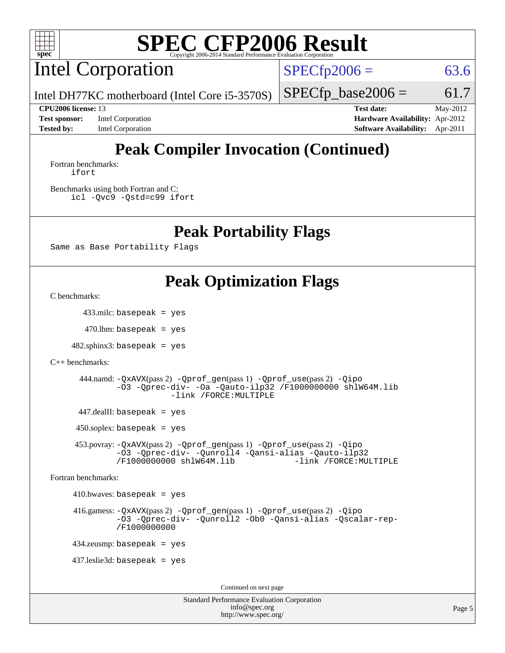

Intel Corporation

 $SPECTp2006 = 63.6$ 

Intel DH77KC motherboard (Intel Core i5-3570S)

**[Test sponsor:](http://www.spec.org/auto/cpu2006/Docs/result-fields.html#Testsponsor)** Intel Corporation **[Hardware Availability:](http://www.spec.org/auto/cpu2006/Docs/result-fields.html#HardwareAvailability)** Apr-2012

 $SPECTp\_base2006 = 61.7$ **[CPU2006 license:](http://www.spec.org/auto/cpu2006/Docs/result-fields.html#CPU2006license)** 13 **[Test date:](http://www.spec.org/auto/cpu2006/Docs/result-fields.html#Testdate)** May-2012

**[Tested by:](http://www.spec.org/auto/cpu2006/Docs/result-fields.html#Testedby)** Intel Corporation **[Software Availability:](http://www.spec.org/auto/cpu2006/Docs/result-fields.html#SoftwareAvailability)** Apr-2011 **[Peak Compiler Invocation \(Continued\)](http://www.spec.org/auto/cpu2006/Docs/result-fields.html#PeakCompilerInvocation)**

#### [Fortran benchmarks](http://www.spec.org/auto/cpu2006/Docs/result-fields.html#Fortranbenchmarks): [ifort](http://www.spec.org/cpu2006/results/res2012q3/cpu2006-20120702-23382.flags.html#user_FCpeak_intel_ifort_8a5e5e06b19a251bdeaf8fdab5d62f20)

[Benchmarks using both Fortran and C](http://www.spec.org/auto/cpu2006/Docs/result-fields.html#BenchmarksusingbothFortranandC): [icl -Qvc9](http://www.spec.org/cpu2006/results/res2012q3/cpu2006-20120702-23382.flags.html#user_CC_FCpeak_intel_icc_vc9_6b5741b4033b9dc48df324263d9561bc) [-Qstd=c99](http://www.spec.org/cpu2006/results/res2012q3/cpu2006-20120702-23382.flags.html#user_CC_FCpeak_intel_compiler_c99_mode_1a3d110e3041b3ad4466830521bdad2a) [ifort](http://www.spec.org/cpu2006/results/res2012q3/cpu2006-20120702-23382.flags.html#user_CC_FCpeak_intel_ifort_8a5e5e06b19a251bdeaf8fdab5d62f20)

### **[Peak Portability Flags](http://www.spec.org/auto/cpu2006/Docs/result-fields.html#PeakPortabilityFlags)**

Same as Base Portability Flags

# **[Peak Optimization Flags](http://www.spec.org/auto/cpu2006/Docs/result-fields.html#PeakOptimizationFlags)**

[C benchmarks](http://www.spec.org/auto/cpu2006/Docs/result-fields.html#Cbenchmarks):

433.milc: basepeak = yes

 $470$ .lbm: basepeak = yes

 $482$ .sphinx $3$ : basepeak = yes

```
C++ benchmarks:
```

```
 444.namd: -QxAVX(pass 2) -Qprof_gen(pass 1) -Qprof_use(pass 2) -Qipo
-O3 -Qprec-div- -Oa -Qauto-ilp32 /F1000000000 shlW64M.lib
             -link /FORCE:MULTIPLE
```
447.dealII: basepeak = yes

 $450$ .soplex: basepeak = yes

 453.povray: [-QxAVX](http://www.spec.org/cpu2006/results/res2012q3/cpu2006-20120702-23382.flags.html#user_peakPASS2_CXXFLAGSPASS2_LDFLAGS453_povray_f-QxAVX)(pass 2) [-Qprof\\_gen](http://www.spec.org/cpu2006/results/res2012q3/cpu2006-20120702-23382.flags.html#user_peakPASS1_CXXFLAGSPASS1_LDFLAGS453_povray_Qprof_gen)(pass 1) [-Qprof\\_use](http://www.spec.org/cpu2006/results/res2012q3/cpu2006-20120702-23382.flags.html#user_peakPASS2_CXXFLAGSPASS2_LDFLAGS453_povray_Qprof_use)(pass 2) [-Qipo](http://www.spec.org/cpu2006/results/res2012q3/cpu2006-20120702-23382.flags.html#user_peakOPTIMIZE453_povray_f-Qipo) [-O3](http://www.spec.org/cpu2006/results/res2012q3/cpu2006-20120702-23382.flags.html#user_peakOPTIMIZE453_povray_f-O3) [-Qprec-div-](http://www.spec.org/cpu2006/results/res2012q3/cpu2006-20120702-23382.flags.html#user_peakOPTIMIZE453_povray_f-Qprec-div-) [-Qunroll4](http://www.spec.org/cpu2006/results/res2012q3/cpu2006-20120702-23382.flags.html#user_peakOPTIMIZE453_povray_f-Qunroll_013b1c0ea3aa84ef2c65e488bcc3d968) [-Qansi-alias](http://www.spec.org/cpu2006/results/res2012q3/cpu2006-20120702-23382.flags.html#user_peakOPTIMIZE453_povray_f-Qansi-alias) [-Qauto-ilp32](http://www.spec.org/cpu2006/results/res2012q3/cpu2006-20120702-23382.flags.html#user_peakCXXOPTIMIZE453_povray_f-Qauto-ilp32) [/F1000000000](http://www.spec.org/cpu2006/results/res2012q3/cpu2006-20120702-23382.flags.html#user_peakEXTRA_LDFLAGS453_povray_set_stack_space_25d7749c1988d91b7f93afbc0ec53727) [shlW64M.lib](http://www.spec.org/cpu2006/results/res2012q3/cpu2006-20120702-23382.flags.html#user_peakEXTRA_LIBS453_povray_SmartHeap64_c4f7f76711bdf8c0633a5c1edf6e5396)

[Fortran benchmarks](http://www.spec.org/auto/cpu2006/Docs/result-fields.html#Fortranbenchmarks):

 $410.bwaves: basepeak = yes$ 

 416.gamess: [-QxAVX](http://www.spec.org/cpu2006/results/res2012q3/cpu2006-20120702-23382.flags.html#user_peakPASS2_FFLAGSPASS2_LDFLAGS416_gamess_f-QxAVX)(pass 2) [-Qprof\\_gen](http://www.spec.org/cpu2006/results/res2012q3/cpu2006-20120702-23382.flags.html#user_peakPASS1_FFLAGSPASS1_LDFLAGS416_gamess_Qprof_gen)(pass 1) [-Qprof\\_use](http://www.spec.org/cpu2006/results/res2012q3/cpu2006-20120702-23382.flags.html#user_peakPASS2_FFLAGSPASS2_LDFLAGS416_gamess_Qprof_use)(pass 2) [-Qipo](http://www.spec.org/cpu2006/results/res2012q3/cpu2006-20120702-23382.flags.html#user_peakOPTIMIZE416_gamess_f-Qipo) [-O3](http://www.spec.org/cpu2006/results/res2012q3/cpu2006-20120702-23382.flags.html#user_peakOPTIMIZE416_gamess_f-O3) [-Qprec-div-](http://www.spec.org/cpu2006/results/res2012q3/cpu2006-20120702-23382.flags.html#user_peakOPTIMIZE416_gamess_f-Qprec-div-) [-Qunroll2](http://www.spec.org/cpu2006/results/res2012q3/cpu2006-20120702-23382.flags.html#user_peakOPTIMIZE416_gamess_f-Qunroll_1d9456aa650e77fc2a0cf43cef3fa08c) [-Ob0](http://www.spec.org/cpu2006/results/res2012q3/cpu2006-20120702-23382.flags.html#user_peakOPTIMIZE416_gamess_f-Ob_n_fbe6f6428adb7d4b74b1e99bb2444c2d) [-Qansi-alias](http://www.spec.org/cpu2006/results/res2012q3/cpu2006-20120702-23382.flags.html#user_peakOPTIMIZE416_gamess_f-Qansi-alias) [-Qscalar-rep-](http://www.spec.org/cpu2006/results/res2012q3/cpu2006-20120702-23382.flags.html#user_peakOPTIMIZE416_gamess_f-Qscalar-rep_02cb9e11a5340d80ab3062d84e5dfb2e) [/F1000000000](http://www.spec.org/cpu2006/results/res2012q3/cpu2006-20120702-23382.flags.html#user_peakEXTRA_LDFLAGS416_gamess_set_stack_space_25d7749c1988d91b7f93afbc0ec53727)

434.zeusmp: basepeak = yes

437.leslie3d: basepeak = yes

Continued on next page